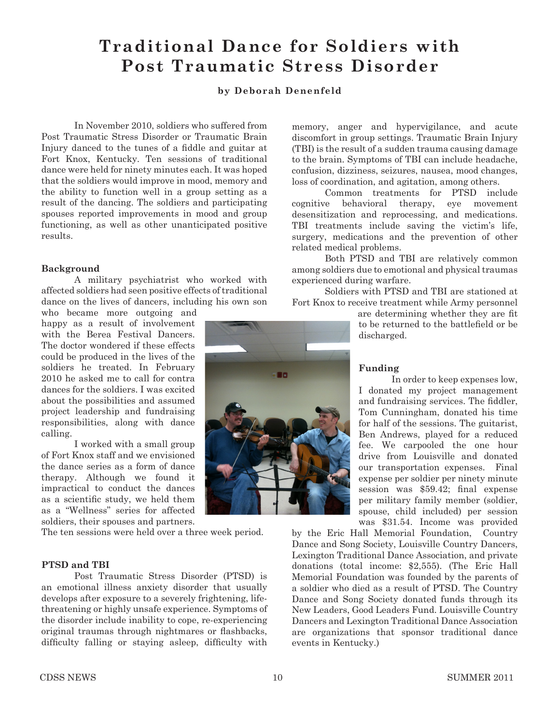# **Traditional Dance for Soldiers with Post Traumatic Stress Disorder**

## **by Deborah Denenfeld**

In November 2010, soldiers who suffered from Post Traumatic Stress Disorder or Traumatic Brain Injury danced to the tunes of a fiddle and guitar at Fort Knox, Kentucky. Ten sessions of traditional dance were held for ninety minutes each. It was hoped that the soldiers would improve in mood, memory and the ability to function well in a group setting as a result of the dancing. The soldiers and participating spouses reported improvements in mood and group functioning, as well as other unanticipated positive results.

#### **Background**

A military psychiatrist who worked with affected soldiers had seen positive effects of traditional dance on the lives of dancers, including his own son

who became more outgoing and happy as a result of involvement with the Berea Festival Dancers. The doctor wondered if these effects could be produced in the lives of the soldiers he treated. In February 2010 he asked me to call for contra dances for the soldiers. I was excited about the possibilities and assumed project leadership and fundraising responsibilities, along with dance calling.

I worked with a small group of Fort Knox staff and we envisioned the dance series as a form of dance therapy. Although we found it impractical to conduct the dances as a scientific study, we held them as a "Wellness" series for affected soldiers, their spouses and partners.

The ten sessions were held over a three week period.

#### **PTSD and TBI**

Post Traumatic Stress Disorder (PTSD) is an emotional illness anxiety disorder that usually develops after exposure to a severely frightening, lifethreatening or highly unsafe experience. Symptoms of the disorder include inability to cope, re-experiencing original traumas through nightmares or flashbacks, difficulty falling or staying asleep, difficulty with

discomfort in group settings. Traumatic Brain Injury (TBI) is the result of a sudden trauma causing damage to the brain. Symptoms of TBI can include headache, confusion, dizziness, seizures, nausea, mood changes, loss of coordination, and agitation, among others. Common treatments for PTSD include

memory, anger and hypervigilance, and acute

cognitive behavioral therapy, eye movement desensitization and reprocessing, and medications. TBI treatments include saving the victim's life, surgery, medications and the prevention of other related medical problems.

Both PTSD and TBI are relatively common among soldiers due to emotional and physical traumas experienced during warfare.

Soldiers with PTSD and TBI are stationed at Fort Knox to receive treatment while Army personnel

> are determining whether they are fit to be returned to the battlefield or be discharged.

#### **Funding**

In order to keep expenses low, I donated my project management and fundraising services. The fiddler, Tom Cunningham, donated his time for half of the sessions. The guitarist, Ben Andrews, played for a reduced fee. We carpooled the one hour drive from Louisville and donated our transportation expenses. Final expense per soldier per ninety minute session was \$59.42; final expense per military family member (soldier, spouse, child included) per session was \$31.54. Income was provided

by the Eric Hall Memorial Foundation, Country Dance and Song Society, Louisville Country Dancers, Lexington Traditional Dance Association, and private donations (total income: \$2,555). (The Eric Hall Memorial Foundation was founded by the parents of a soldier who died as a result of PTSD. The Country Dance and Song Society donated funds through its New Leaders, Good Leaders Fund. Louisville Country Dancers and Lexington Traditional Dance Association are organizations that sponsor traditional dance events in Kentucky.)

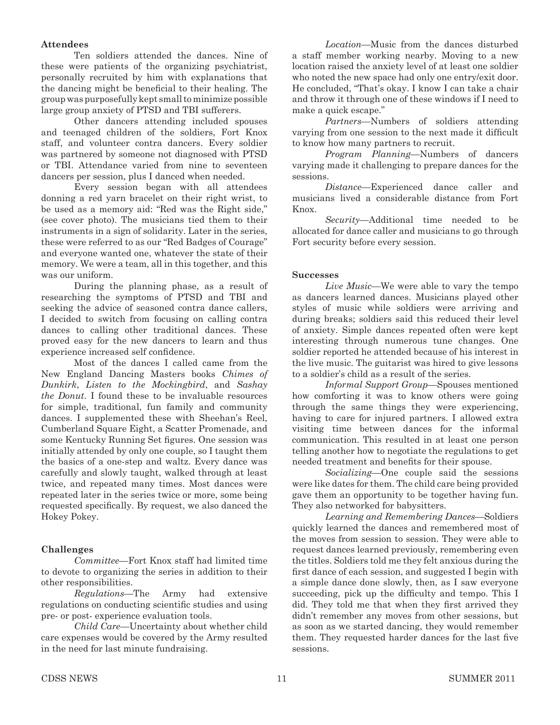## **Attendees**

Ten soldiers attended the dances. Nine of these were patients of the organizing psychiatrist, personally recruited by him with explanations that the dancing might be beneficial to their healing. The group was purposefully kept small to minimize possible large group anxiety of PTSD and TBI sufferers.

Other dancers attending included spouses and teenaged children of the soldiers, Fort Knox staff, and volunteer contra dancers. Every soldier was partnered by someone not diagnosed with PTSD or TBI. Attendance varied from nine to seventeen dancers per session, plus I danced when needed.

Every session began with all attendees donning a red yarn bracelet on their right wrist, to be used as a memory aid: "Red was the Right side," (see cover photo). The musicians tied them to their instruments in a sign of solidarity. Later in the series, these were referred to as our "Red Badges of Courage" and everyone wanted one, whatever the state of their memory. We were a team, all in this together, and this was our uniform.

During the planning phase, as a result of researching the symptoms of PTSD and TBI and seeking the advice of seasoned contra dance callers, I decided to switch from focusing on calling contra dances to calling other traditional dances. These proved easy for the new dancers to learn and thus experience increased self confidence.

Most of the dances I called came from the New England Dancing Masters books *Chimes of Dunkirk*, *Listen to the Mockingbird*, and *Sashay the Donut*. I found these to be invaluable resources for simple, traditional, fun family and community dances. I supplemented these with Sheehan's Reel, Cumberland Square Eight, a Scatter Promenade, and some Kentucky Running Set figures. One session was initially attended by only one couple, so I taught them the basics of a one-step and waltz. Every dance was carefully and slowly taught, walked through at least twice, and repeated many times. Most dances were repeated later in the series twice or more, some being requested specifically. By request, we also danced the Hokey Pokey.

## **Challenges**

*Committee*—Fort Knox staff had limited time to devote to organizing the series in addition to their other responsibilities.

*Regulations*—The Army had extensive regulations on conducting scientific studies and using pre- or post- experience evaluation tools.

*Child Care*—Uncertainty about whether child care expenses would be covered by the Army resulted in the need for last minute fundraising.

*Location*—Music from the dances disturbed a staff member working nearby. Moving to a new location raised the anxiety level of at least one soldier who noted the new space had only one entry/exit door. He concluded, "That's okay. I know I can take a chair and throw it through one of these windows if I need to make a quick escape."

*Partners*—Numbers of soldiers attending varying from one session to the next made it difficult to know how many partners to recruit.

*Program Planning*—Numbers of dancers varying made it challenging to prepare dances for the sessions.

*Distance*—Experienced dance caller and musicians lived a considerable distance from Fort Knox.

*Security*—Additional time needed to be allocated for dance caller and musicians to go through Fort security before every session.

#### **Successes**

*Live Music*—We were able to vary the tempo as dancers learned dances. Musicians played other styles of music while soldiers were arriving and during breaks; soldiers said this reduced their level of anxiety. Simple dances repeated often were kept interesting through numerous tune changes. One soldier reported he attended because of his interest in the live music. The guitarist was hired to give lessons to a soldier's child as a result of the series.

*Informal Support Group*—Spouses mentioned how comforting it was to know others were going through the same things they were experiencing, having to care for injured partners. I allowed extra visiting time between dances for the informal communication. This resulted in at least one person telling another how to negotiate the regulations to get needed treatment and benefits for their spouse.

*Socializing*—One couple said the sessions were like dates for them. The child care being provided gave them an opportunity to be together having fun. They also networked for babysitters.

*Learning and Remembering Dances*—Soldiers quickly learned the dances and remembered most of the moves from session to session. They were able to request dances learned previously, remembering even the titles. Soldiers told me they felt anxious during the first dance of each session, and suggested I begin with a simple dance done slowly, then, as I saw everyone succeeding, pick up the difficulty and tempo. This I did. They told me that when they first arrived they didn't remember any moves from other sessions, but as soon as we started dancing, they would remember them. They requested harder dances for the last five sessions.